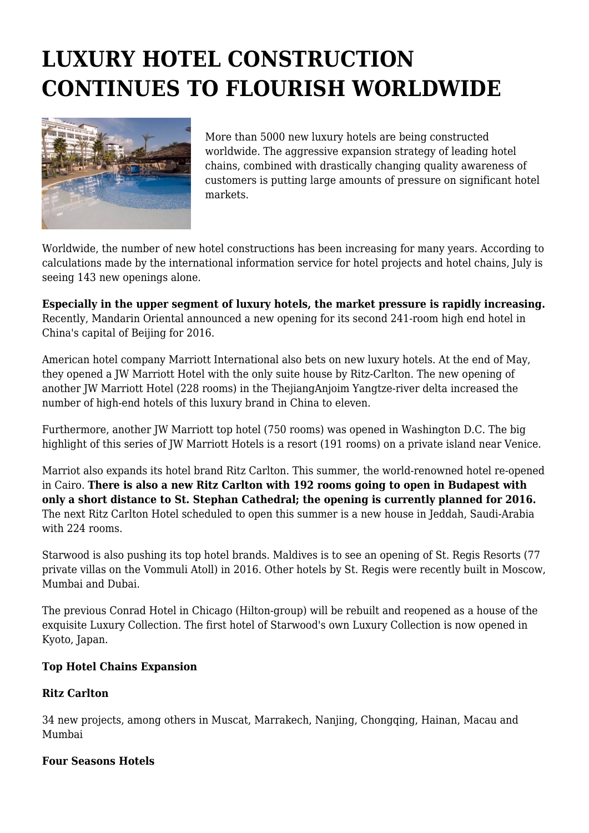# **LUXURY HOTEL CONSTRUCTION CONTINUES TO FLOURISH WORLDWIDE**



More than 5000 new luxury hotels are being constructed worldwide. The aggressive expansion strategy of leading hotel chains, combined with drastically changing quality awareness of customers is putting large amounts of pressure on significant hotel markets.

Worldwide, the number of new hotel constructions has been increasing for many years. According to calculations made by the international information service for hotel projects and hotel chains, July is seeing 143 new openings alone.

**Especially in the upper segment of luxury hotels, the market pressure is rapidly increasing.** Recently, Mandarin Oriental announced a new opening for its second 241-room high end hotel in China's capital of Beijing for 2016.

American hotel company Marriott International also bets on new luxury hotels. At the end of May, they opened a JW Marriott Hotel with the only suite house by Ritz-Carlton. The new opening of another JW Marriott Hotel (228 rooms) in the ThejiangAnjoim Yangtze-river delta increased the number of high-end hotels of this luxury brand in China to eleven.

Furthermore, another JW Marriott top hotel (750 rooms) was opened in Washington D.C. The big highlight of this series of JW Marriott Hotels is a resort (191 rooms) on a private island near Venice.

Marriot also expands its hotel brand Ritz Carlton. This summer, the world-renowned hotel re-opened in Cairo. **There is also a new Ritz Carlton with 192 rooms going to open in Budapest with only a short distance to St. Stephan Cathedral; the opening is currently planned for 2016.** The next Ritz Carlton Hotel scheduled to open this summer is a new house in Jeddah, Saudi-Arabia with 224 rooms.

Starwood is also pushing its top hotel brands. Maldives is to see an opening of St. Regis Resorts (77 private villas on the Vommuli Atoll) in 2016. Other hotels by St. Regis were recently built in Moscow, Mumbai and Dubai.

The previous Conrad Hotel in Chicago (Hilton-group) will be rebuilt and reopened as a house of the exquisite Luxury Collection. The first hotel of Starwood's own Luxury Collection is now opened in Kyoto, Japan.

#### **Top Hotel Chains Expansion**

# **Ritz Carlton**

34 new projects, among others in Muscat, Marrakech, Nanjing, Chongqing, Hainan, Macau and Mumbai

#### **Four Seasons Hotels**